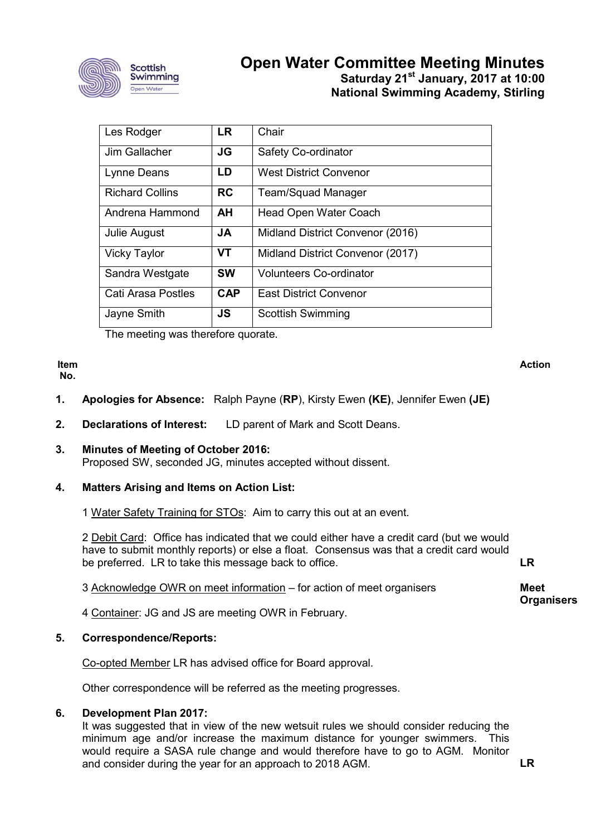

# **Open Water Committee Meeting Minutes Saturday 21st January, 2017 at 10:00 National Swimming Academy, Stirling**

| Les Rodger             | <b>LR</b>  | Chair                            |
|------------------------|------------|----------------------------------|
| Jim Gallacher          | <b>JG</b>  | Safety Co-ordinator              |
| Lynne Deans            | LD         | West District Convenor           |
| <b>Richard Collins</b> | <b>RC</b>  | <b>Team/Squad Manager</b>        |
| Andrena Hammond        | AH         | <b>Head Open Water Coach</b>     |
| Julie August           | JA         | Midland District Convenor (2016) |
| <b>Vicky Taylor</b>    | <b>VT</b>  | Midland District Convenor (2017) |
| Sandra Westgate        | <b>SW</b>  | <b>Volunteers Co-ordinator</b>   |
| Cati Arasa Postles     | <b>CAP</b> | <b>East District Convenor</b>    |
| Jayne Smith            | JS         | <b>Scottish Swimming</b>         |

The meeting was therefore quorate.

#### **Item No.**

**Action**

- **1. Apologies for Absence:** Ralph Payne (**RP**), Kirsty Ewen **(KE)**, Jennifer Ewen **(JE)**
- **2. Declarations of Interest:** LD parent of Mark and Scott Deans.
- **3. Minutes of Meeting of October 2016:** Proposed SW, seconded JG, minutes accepted without dissent.

# **4. Matters Arising and Items on Action List:**

1 Water Safety Training for STOs: Aim to carry this out at an event.

2 Debit Card: Office has indicated that we could either have a credit card (but we would have to submit monthly reports) or else a float. Consensus was that a credit card would be preferred. LR to take this message back to office.

3 Acknowledge OWR on meet information – for action of meet organisers

4 Container: JG and JS are meeting OWR in February.

## **5. Correspondence/Reports:**

Co-opted Member LR has advised office for Board approval.

Other correspondence will be referred as the meeting progresses.

## **6. Development Plan 2017:**

It was suggested that in view of the new wetsuit rules we should consider reducing the minimum age and/or increase the maximum distance for younger swimmers. This would require a SASA rule change and would therefore have to go to AGM. Monitor and consider during the year for an approach to 2018 AGM. **LR**

**LR**

**Meet** 

**Organisers**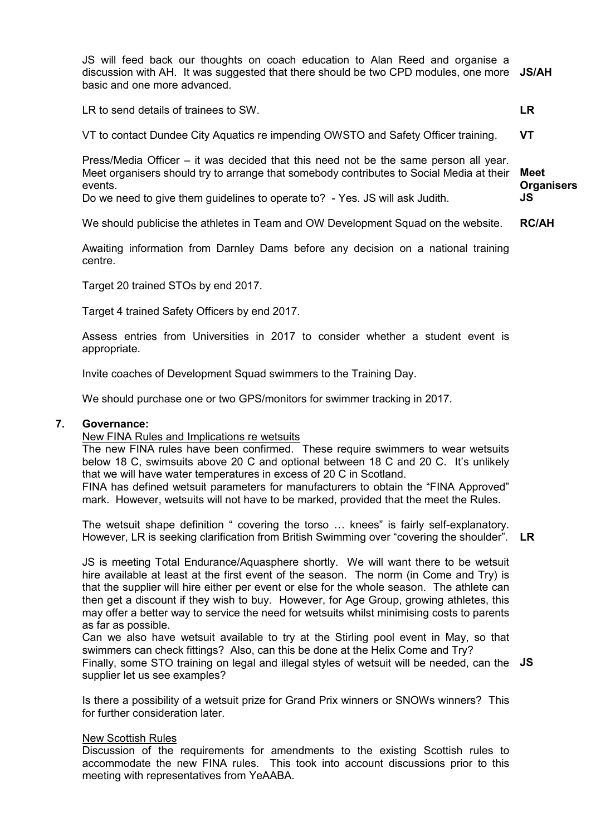JS will feed back our thoughts on coach education to Alan Reed and organise a discussion with AH. It was suggested that there should be two CPD modules, one more **JS/AH** basic and one more advanced.

LR to send details of trainees to SW.

**LR**

VT to contact Dundee City Aquatics re impending OWSTO and Safety Officer training. **VT**

Press/Media Officer – it was decided that this need not be the same person all year. Meet organisers should try to arrange that somebody contributes to Social Media at their events. **Meet Organisers JS**

Do we need to give them guidelines to operate to? - Yes. JS will ask Judith.

We should publicise the athletes in Team and OW Development Squad on the website. **RC/AH**

Awaiting information from Darnley Dams before any decision on a national training centre.

Target 20 trained STOs by end 2017.

Target 4 trained Safety Officers by end 2017.

Assess entries from Universities in 2017 to consider whether a student event is appropriate.

Invite coaches of Development Squad swimmers to the Training Day.

We should purchase one or two GPS/monitors for swimmer tracking in 2017.

## **7. Governance:**

## New FINA Rules and Implications re wetsuits

The new FINA rules have been confirmed. These require swimmers to wear wetsuits below 18 C, swimsuits above 20 C and optional between 18 C and 20 C. It's unlikely that we will have water temperatures in excess of 20 C in Scotland.

FINA has defined wetsuit parameters for manufacturers to obtain the "FINA Approved" mark. However, wetsuits will not have to be marked, provided that the meet the Rules.

The wetsuit shape definition " covering the torso … knees" is fairly self-explanatory. However, LR is seeking clarification from British Swimming over "covering the shoulder". **LR**

JS is meeting Total Endurance/Aquasphere shortly. We will want there to be wetsuit hire available at least at the first event of the season. The norm (in Come and Try) is that the supplier will hire either per event or else for the whole season. The athlete can then get a discount if they wish to buy. However, for Age Group, growing athletes, this may offer a better way to service the need for wetsuits whilst minimising costs to parents as far as possible.

Can we also have wetsuit available to try at the Stirling pool event in May, so that swimmers can check fittings? Also, can this be done at the Helix Come and Try? Finally, some STO training on legal and illegal styles of wetsuit will be needed, can the **JS**supplier let us see examples?

Is there a possibility of a wetsuit prize for Grand Prix winners or SNOWs winners? This for further consideration later

## New Scottish Rules

Discussion of the requirements for amendments to the existing Scottish rules to accommodate the new FINA rules. This took into account discussions prior to this meeting with representatives from YeAABA.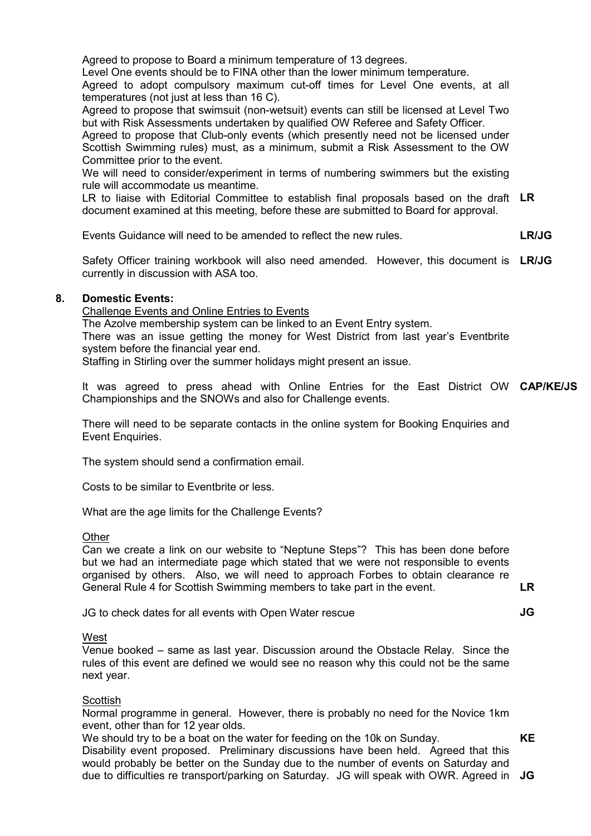Agreed to propose to Board a minimum temperature of 13 degrees.

Level One events should be to FINA other than the lower minimum temperature.

Agreed to adopt compulsory maximum cut-off times for Level One events, at all temperatures (not just at less than 16 C).

Agreed to propose that swimsuit (non-wetsuit) events can still be licensed at Level Two but with Risk Assessments undertaken by qualified OW Referee and Safety Officer.

Agreed to propose that Club-only events (which presently need not be licensed under Scottish Swimming rules) must, as a minimum, submit a Risk Assessment to the OW Committee prior to the event.

We will need to consider/experiment in terms of numbering swimmers but the existing rule will accommodate us meantime.

LR to liaise with Editorial Committee to establish final proposals based on the draft **LR** document examined at this meeting, before these are submitted to Board for approval.

Events Guidance will need to be amended to reflect the new rules. **LR/JG**

Safety Officer training workbook will also need amended. However, this document is **LR/JG** currently in discussion with ASA too.

# **8. Domestic Events:**

Challenge Events and Online Entries to Events

The Azolve membership system can be linked to an Event Entry system. There was an issue getting the money for West District from last year's Eventbrite

system before the financial year end.

Staffing in Stirling over the summer holidays might present an issue.

It was agreed to press ahead with Online Entries for the East District OW **CAP/KE/JS** Championships and the SNOWs and also for Challenge events.

There will need to be separate contacts in the online system for Booking Enquiries and Event Enquiries.

The system should send a confirmation email.

Costs to be similar to Eventbrite or less.

What are the age limits for the Challenge Events?

## **Other**

Can we create a link on our website to "Neptune Steps"? This has been done before but we had an intermediate page which stated that we were not responsible to events organised by others. Also, we will need to approach Forbes to obtain clearance re General Rule 4 for Scottish Swimming members to take part in the event.

JG to check dates for all events with Open Water rescue

**LR JG**

**West** 

Venue booked – same as last year. Discussion around the Obstacle Relay. Since the rules of this event are defined we would see no reason why this could not be the same next year.

# **Scottish**

Normal programme in general. However, there is probably no need for the Novice 1km event, other than for 12 year olds.

We should try to be a boat on the water for feeding on the 10k on Sunday. Disability event proposed. Preliminary discussions have been held. Agreed that this would probably be better on the Sunday due to the number of events on Saturday and due to difficulties re transport/parking on Saturday. JG will speak with OWR. Agreed in **JGKE**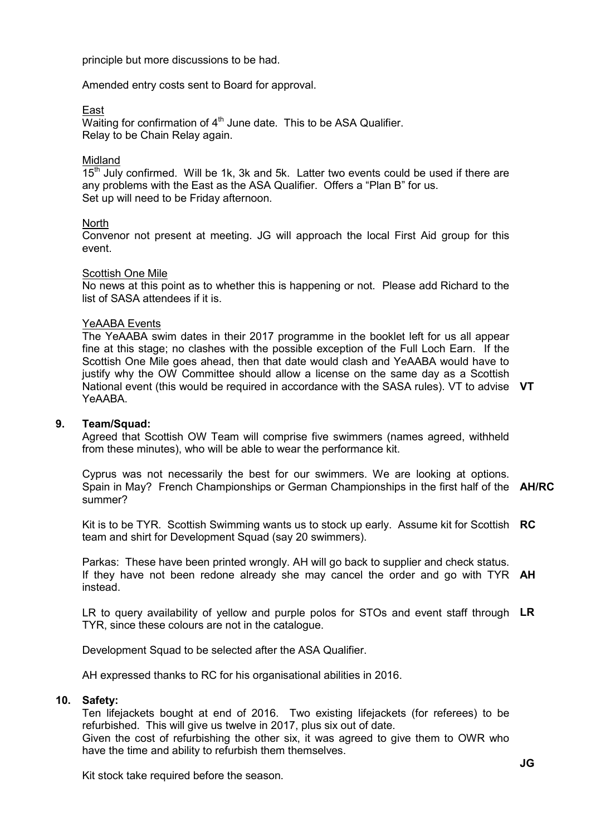principle but more discussions to be had.

Amended entry costs sent to Board for approval.

East

Waiting for confirmation of  $4<sup>th</sup>$  June date. This to be ASA Qualifier. Relay to be Chain Relay again.

# Midland

 $15<sup>th</sup>$  July confirmed. Will be 1k, 3k and 5k. Latter two events could be used if there are any problems with the East as the ASA Qualifier. Offers a "Plan B" for us. Set up will need to be Friday afternoon.

# **North**

Convenor not present at meeting. JG will approach the local First Aid group for this event.

# Scottish One Mile

No news at this point as to whether this is happening or not. Please add Richard to the list of SASA attendees if it is.

# YeAABA Events

The YeAABA swim dates in their 2017 programme in the booklet left for us all appear fine at this stage; no clashes with the possible exception of the Full Loch Earn. If the Scottish One Mile goes ahead, then that date would clash and YeAABA would have to justify why the OW Committee should allow a license on the same day as a Scottish National event (this would be required in accordance with the SASA rules). VT to advise **VT** YeAABA.

# **9. Team/Squad:**

Agreed that Scottish OW Team will comprise five swimmers (names agreed, withheld from these minutes), who will be able to wear the performance kit.

Cyprus was not necessarily the best for our swimmers. We are looking at options. Spain in May? French Championships or German Championships in the first half of the **AH/RC** summer?

Kit is to be TYR. Scottish Swimming wants us to stock up early. Assume kit for Scottish **RC** team and shirt for Development Squad (say 20 swimmers).

Parkas: These have been printed wrongly. AH will go back to supplier and check status. If they have not been redone already she may cancel the order and go with TYR **AH** instead.

LR to query availability of yellow and purple polos for STOs and event staff through **LR** TYR, since these colours are not in the catalogue.

Development Squad to be selected after the ASA Qualifier.

AH expressed thanks to RC for his organisational abilities in 2016.

## **10. Safety:**

Ten lifejackets bought at end of 2016. Two existing lifejackets (for referees) to be refurbished. This will give us twelve in 2017, plus six out of date. Given the cost of refurbishing the other six, it was agreed to give them to OWR who have the time and ability to refurbish them themselves.

Kit stock take required before the season.